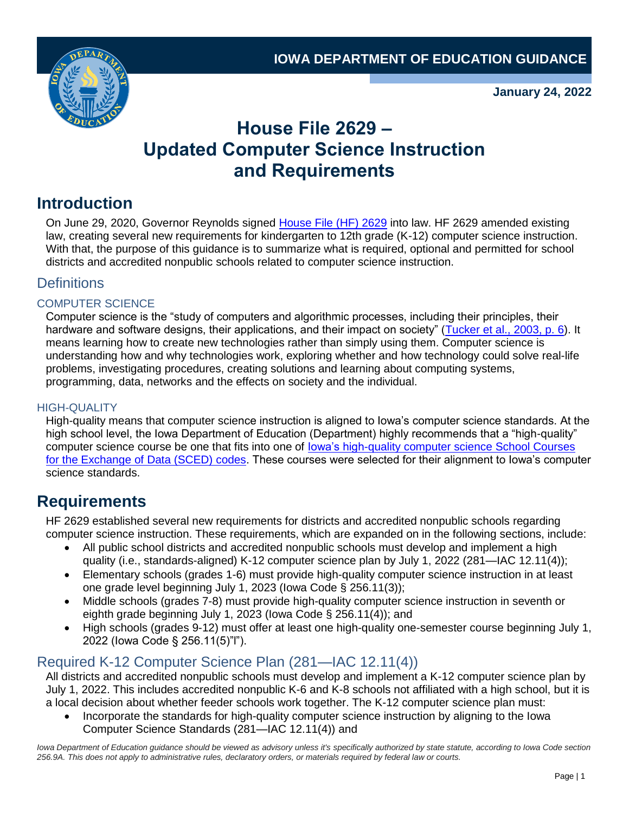

**January 24, 2022**

# **House File 2629 – Updated Computer Science Instruction and Requirements**

## **Introduction**

On June 29, 2020, Governor Reynolds signed [House File \(HF\) 2629](https://www.legis.iowa.gov/legislation/BillBook?ga=88&ba=HF2629) into law. HF 2629 amended existing law, creating several new requirements for kindergarten to 12th grade (K-12) computer science instruction. With that, the purpose of this guidance is to summarize what is required, optional and permitted for school districts and accredited nonpublic schools related to computer science instruction.

### **Definitions**

#### COMPUTER SCIENCE

Computer science is the "study of computers and algorithmic processes, including their principles, their hardware and software designs, their applications, and their impact on society" [\(Tucker et al., 2003, p. 6\)](https://ftp.unpad.ac.id/orari/library/library-ref-eng/ref-eng-3/application/education/curriculum/k12final1022.pdf). It means learning how to create new technologies rather than simply using them. Computer science is understanding how and why technologies work, exploring whether and how technology could solve real-life problems, investigating procedures, creating solutions and learning about computing systems, programming, data, networks and the effects on society and the individual.

#### HIGH-QUALITY

High-quality means that computer science instruction is aligned to Iowa's computer science standards. At the high school level, the Iowa Department of Education (Department) highly recommends that a "high-quality" computer science course be one that fits into one of [Iowa's high-quality computer science School Courses](https://educateiowa.gov/documents/computer-science-expansion/2020/11/computer-science-courses) [for the Exchange of Data \(SCED\) codes.](https://educateiowa.gov/documents/computer-science-expansion/2020/11/computer-science-courses) These courses were selected for their alignment to Iowa's computer science standards.

## **Requirements**

HF 2629 established several new requirements for districts and accredited nonpublic schools regarding computer science instruction. These requirements, which are expanded on in the following sections, include:

- All public school districts and accredited nonpublic schools must develop and implement a high quality (i.e., standards-aligned) K-12 computer science plan by July 1, 2022 (281—IAC 12.11(4));
- Elementary schools (grades 1-6) must provide high-quality computer science instruction in at least one grade level beginning July 1, 2023 (Iowa Code § 256.11(3));
- Middle schools (grades 7-8) must provide high-quality computer science instruction in seventh or eighth grade beginning July 1, 2023 (Iowa Code § 256.11(4)); and
- High schools (grades 9-12) must offer at least one high-quality one-semester course beginning July 1, 2022 (Iowa Code § 256.11(5)"l").

### Required K-12 Computer Science Plan (281—IAC 12.11(4))

All districts and accredited nonpublic schools must develop and implement a K-12 computer science plan by July 1, 2022. This includes accredited nonpublic K-6 and K-8 schools not affiliated with a high school, but it is a local decision about whether feeder schools work together. The K-12 computer science plan must:

• Incorporate the standards for high-quality computer science instruction by aligning to the Iowa Computer Science Standards (281—IAC 12.11(4)) and

Iowa Department of Education guidance should be viewed as advisory unless it's specifically authorized by state statute, according to Iowa Code section *256.9A. This does not apply to administrative rules, declaratory orders, or materials required by federal law or courts.*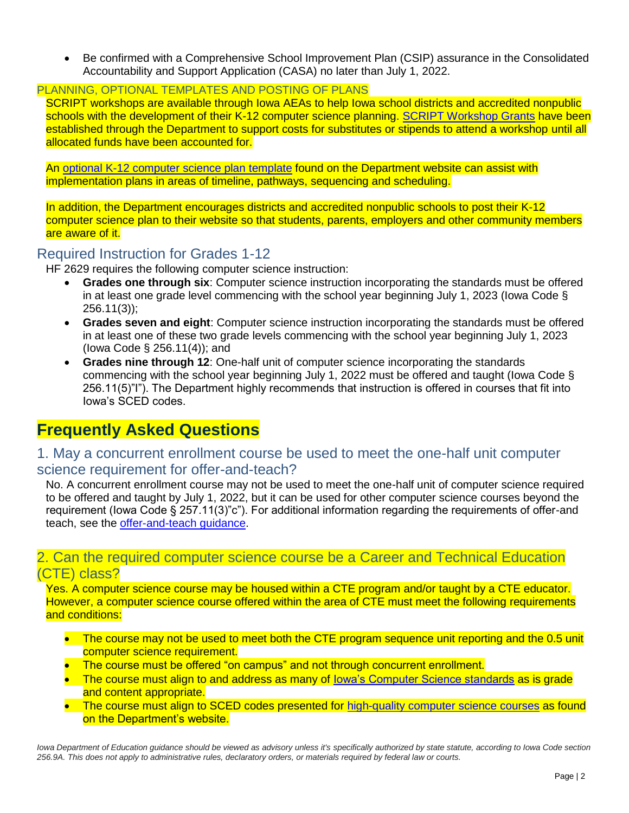• Be confirmed with a Comprehensive School Improvement Plan (CSIP) assurance in the Consolidated Accountability and Support Application (CASA) no later than July 1, 2022.

#### PLANNING, OPTIONAL TEMPLATES AND POSTING OF PLANS

SCRIPT workshops are available through Iowa AEAs to help Iowa school districts and accredited nonpublic schools with the development of their K-12 computer science planning. [SCRIPT Workshop Grants](https://educateiowa.gov/pk-12/instruction/computer-science/script-workshop-grants) have been established through the Department to support costs for substitutes or stipends to attend a workshop until all allocated funds have been accounted for.

An [optional K-12 computer science plan](https://educateiowa.gov/documents/computer-science/2021/05/computer-science-k-12-plan-template) template found on the Department website can assist with implementation plans in areas of timeline, pathways, sequencing and scheduling.

In addition, the Department encourages districts and accredited nonpublic schools to post their K-12 computer science plan to their website so that students, parents, employers and other community members are aware of it.

#### Required Instruction for Grades 1-12

HF 2629 requires the following computer science instruction:

- **Grades one through six**: Computer science instruction incorporating the standards must be offered in at least one grade level commencing with the school year beginning July 1, 2023 (Iowa Code § 256.11(3));
- **Grades seven and eight**: Computer science instruction incorporating the standards must be offered in at least one of these two grade levels commencing with the school year beginning July 1, 2023 (Iowa Code § 256.11(4)); and
- **Grades nine through 12**: One-half unit of computer science incorporating the standards commencing with the school year beginning July 1, 2022 must be offered and taught (Iowa Code § 256.11(5)"I"). The Department highly recommends that instruction is offered in courses that fit into Iowa's SCED codes.

## **Frequently Asked Questions**

### 1. May a concurrent enrollment course be used to meet the one-half unit computer science requirement for offer-and-teach?

No. A concurrent enrollment course may not be used to meet the one-half unit of computer science required to be offered and taught by July 1, 2022, but it can be used for other computer science courses beyond the requirement (Iowa Code § 257.11(3)"c"). For additional information regarding the requirements of offer-and teach, see the [offer-and-teach guidance.](https://educateiowa.gov/documents/pk-12/2021/07/offer-and-teach-guidance-high-school-education-requirements)

#### 2. Can the required computer science course be a Career and Technical Education (CTE) class?

Yes. A computer science course may be housed within a CTE program and/or taught by a CTE educator. However, a computer science course offered within the area of CTE must meet the following requirements and conditions:

- The course may not be used to meet both the CTE program sequence unit reporting and the 0.5 unit computer science requirement.
- The course must be offered "on campus" and not through concurrent enrollment.
- The course must align to and address as many of lowa's Computer Science standards as is grade and content appropriate.
- The course must align to SCED codes presented for [high-quality computer science courses](https://educateiowa.gov/documents/computer-science-expansion/2020/11/computer-science-courses) as found on the Department's website.

Iowa Department of Education guidance should be viewed as advisory unless it's specifically authorized by state statute, according to Iowa Code section *256.9A. This does not apply to administrative rules, declaratory orders, or materials required by federal law or courts.*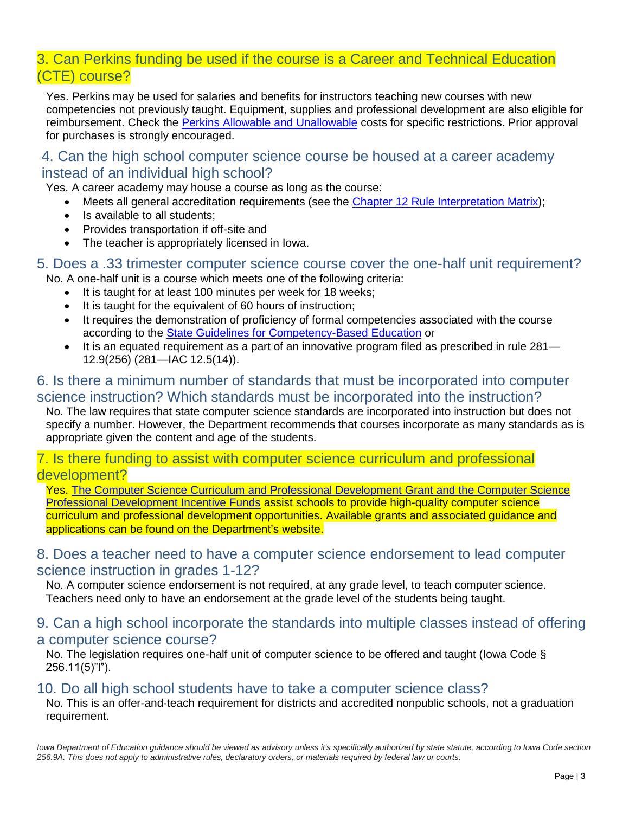## 3. Can Perkins funding be used if the course is a Career and Technical Education (CTE) course?

Yes. Perkins may be used for salaries and benefits for instructors teaching new courses with new competencies not previously taught. Equipment, supplies and professional development are also eligible for reimbursement. Check the [Perkins Allowable and Unallowable](https://educateiowa.gov/documents/perkins-v/2021/12/allowable-and-unallowable-costs) costs for specific restrictions. Prior approval for purchases is strongly encouraged.

### 4. Can the high school computer science course be housed at a career academy instead of an individual high school?

Yes. A career academy may house a course as long as the course:

- Meets all general accreditation requirements (see the [Chapter 12 Rule Interpretation Matrix\)](https://educateiowa.gov/documents/pk-12/2021/07/offer-and-teach-guidance-high-school-education-requirements);
- Is available to all students:
- Provides transportation if off-site and
- The teacher is appropriately licensed in Iowa.

#### 5. Does a .33 trimester computer science course cover the one-half unit requirement? No. A one-half unit is a course which meets one of the following criteria:

- It is taught for at least 100 minutes per week for 18 weeks;
- It is taught for the equivalent of 60 hours of instruction;
- It requires the demonstration of proficiency of formal competencies associated with the course according to the [State Guidelines for Competency-Based Education](https://educateiowa.gov/pk-12/instruction/competency-based-education-cbe) or
- It is an equated requirement as a part of an innovative program filed as prescribed in rule 281— 12.9(256) (281—IAC 12.5(14)).

### 6. Is there a minimum number of standards that must be incorporated into computer science instruction? Which standards must be incorporated into the instruction?

No. The law requires that state computer science standards are incorporated into instruction but does not specify a number. However, the Department recommends that courses incorporate as many standards as is appropriate given the content and age of the students.

#### 7. Is there funding to assist with computer science curriculum and professional development?

Yes. [The Computer Science Curriculum and Professional Development Grant and the Computer Science](https://educateiowa.gov/pk-12/instruction/computer-science#Grants)  [Professional Development Incentive Funds](https://educateiowa.gov/pk-12/instruction/computer-science#Grants) assist schools to provide high-quality computer science curriculum and professional development opportunities. Available grants and associated guidance and applications can be found on the Department's website.

### 8. Does a teacher need to have a computer science endorsement to lead computer science instruction in grades 1-12?

No. A computer science endorsement is not required, at any grade level, to teach computer science. Teachers need only to have an endorsement at the grade level of the students being taught.

#### 9. Can a high school incorporate the standards into multiple classes instead of offering a computer science course?

No. The legislation requires one-half unit of computer science to be offered and taught (Iowa Code § 256.11(5)"l").

#### 10. Do all high school students have to take a computer science class?

No. This is an offer-and-teach requirement for districts and accredited nonpublic schools, not a graduation requirement.

Iowa Department of Education guidance should be viewed as advisory unless it's specifically authorized by state statute, according to Iowa Code section *256.9A. This does not apply to administrative rules, declaratory orders, or materials required by federal law or courts.*